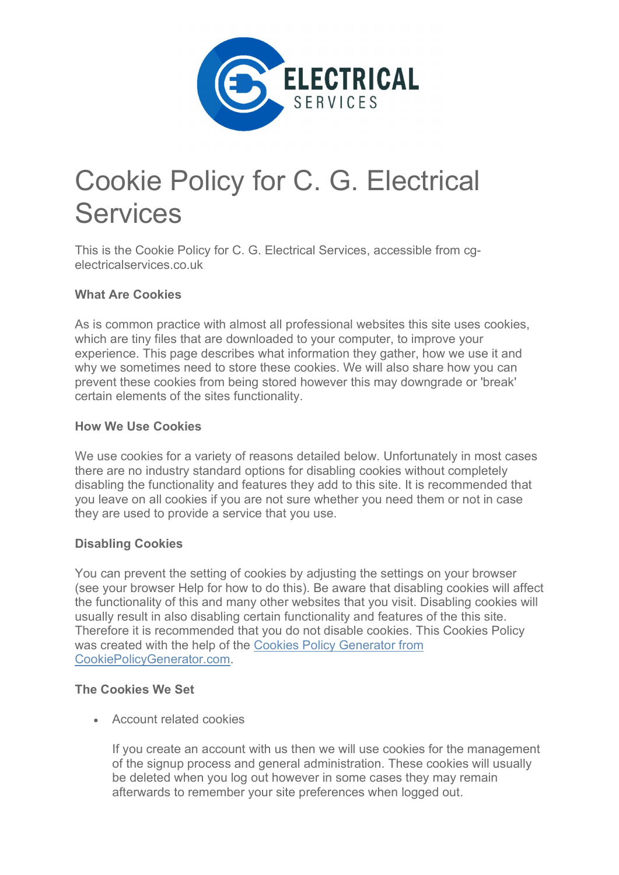

# Cookie Policy for C. G. Electrical Services

This is the Cookie Policy for C. G. Electrical Services, accessible from cgelectricalservices.co.uk

## What Are Cookies

As is common practice with almost all professional websites this site uses cookies, which are tiny files that are downloaded to your computer, to improve your experience. This page describes what information they gather, how we use it and why we sometimes need to store these cookies. We will also share how you can prevent these cookies from being stored however this may downgrade or 'break' certain elements of the sites functionality.

### How We Use Cookies

We use cookies for a variety of reasons detailed below. Unfortunately in most cases there are no industry standard options for disabling cookies without completely disabling the functionality and features they add to this site. It is recommended that you leave on all cookies if you are not sure whether you need them or not in case they are used to provide a service that you use.

### Disabling Cookies

You can prevent the setting of cookies by adjusting the settings on your browser (see your browser Help for how to do this). Be aware that disabling cookies will affect the functionality of this and many other websites that you visit. Disabling cookies will usually result in also disabling certain functionality and features of the this site. Therefore it is recommended that you do not disable cookies. This Cookies Policy was created with the help of the Cookies Policy Generator from CookiePolicyGenerator.com.

### The Cookies We Set

Account related cookies

If you create an account with us then we will use cookies for the management of the signup process and general administration. These cookies will usually be deleted when you log out however in some cases they may remain afterwards to remember your site preferences when logged out.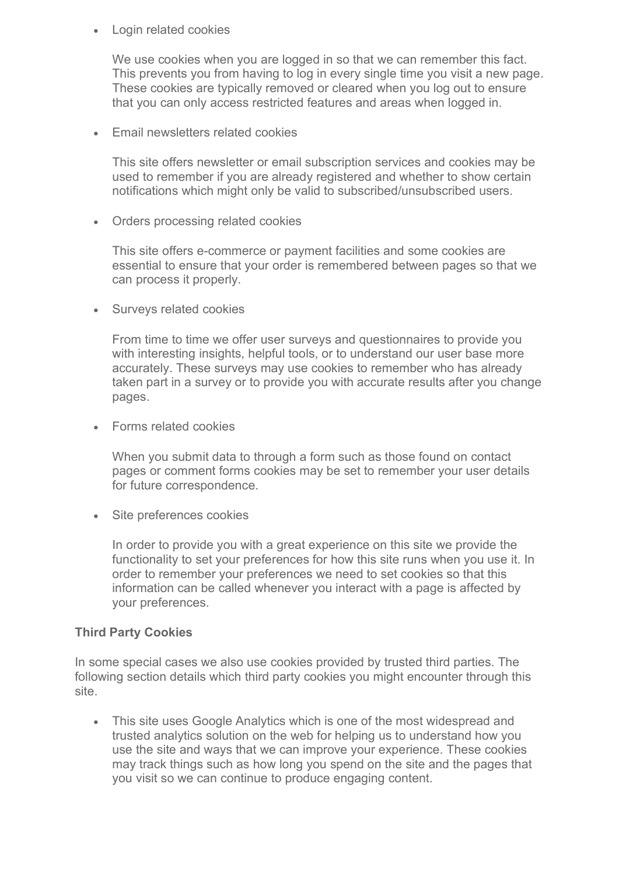Login related cookies

We use cookies when you are logged in so that we can remember this fact. This prevents you from having to log in every single time you visit a new page. These cookies are typically removed or cleared when you log out to ensure that you can only access restricted features and areas when logged in.

Email newsletters related cookies

This site offers newsletter or email subscription services and cookies may be used to remember if you are already registered and whether to show certain notifications which might only be valid to subscribed/unsubscribed users.

Orders processing related cookies

This site offers e-commerce or payment facilities and some cookies are essential to ensure that your order is remembered between pages so that we can process it properly.

Surveys related cookies

From time to time we offer user surveys and questionnaires to provide you with interesting insights, helpful tools, or to understand our user base more accurately. These surveys may use cookies to remember who has already taken part in a survey or to provide you with accurate results after you change pages.

Forms related cookies

When you submit data to through a form such as those found on contact pages or comment forms cookies may be set to remember your user details for future correspondence.

• Site preferences cookies

In order to provide you with a great experience on this site we provide the functionality to set your preferences for how this site runs when you use it. In order to remember your preferences we need to set cookies so that this information can be called whenever you interact with a page is affected by your preferences.

### Third Party Cookies

In some special cases we also use cookies provided by trusted third parties. The following section details which third party cookies you might encounter through this site.

• This site uses Google Analytics which is one of the most widespread and trusted analytics solution on the web for helping us to understand how you use the site and ways that we can improve your experience. These cookies may track things such as how long you spend on the site and the pages that you visit so we can continue to produce engaging content.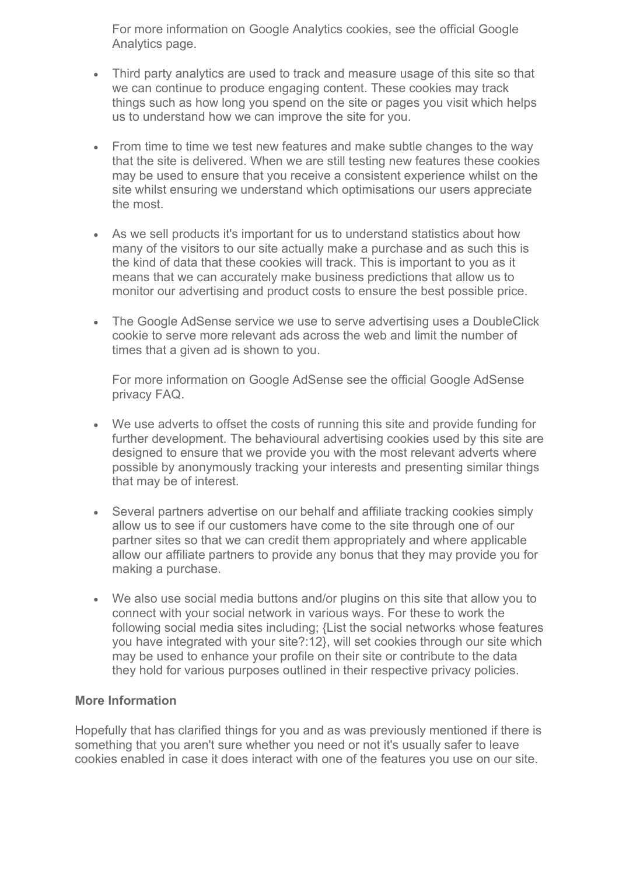For more information on Google Analytics cookies, see the official Google Analytics page.

- Third party analytics are used to track and measure usage of this site so that we can continue to produce engaging content. These cookies may track things such as how long you spend on the site or pages you visit which helps us to understand how we can improve the site for you.
- From time to time we test new features and make subtle changes to the way that the site is delivered. When we are still testing new features these cookies may be used to ensure that you receive a consistent experience whilst on the site whilst ensuring we understand which optimisations our users appreciate the most.
- As we sell products it's important for us to understand statistics about how many of the visitors to our site actually make a purchase and as such this is the kind of data that these cookies will track. This is important to you as it means that we can accurately make business predictions that allow us to monitor our advertising and product costs to ensure the best possible price.
- The Google AdSense service we use to serve advertising uses a DoubleClick cookie to serve more relevant ads across the web and limit the number of times that a given ad is shown to you.

For more information on Google AdSense see the official Google AdSense privacy FAQ.

- We use adverts to offset the costs of running this site and provide funding for further development. The behavioural advertising cookies used by this site are designed to ensure that we provide you with the most relevant adverts where possible by anonymously tracking your interests and presenting similar things that may be of interest.
- Several partners advertise on our behalf and affiliate tracking cookies simply allow us to see if our customers have come to the site through one of our partner sites so that we can credit them appropriately and where applicable allow our affiliate partners to provide any bonus that they may provide you for making a purchase.
- We also use social media buttons and/or plugins on this site that allow you to connect with your social network in various ways. For these to work the following social media sites including; {List the social networks whose features you have integrated with your site?:12}, will set cookies through our site which may be used to enhance your profile on their site or contribute to the data they hold for various purposes outlined in their respective privacy policies.

## More Information

Hopefully that has clarified things for you and as was previously mentioned if there is something that you aren't sure whether you need or not it's usually safer to leave cookies enabled in case it does interact with one of the features you use on our site.